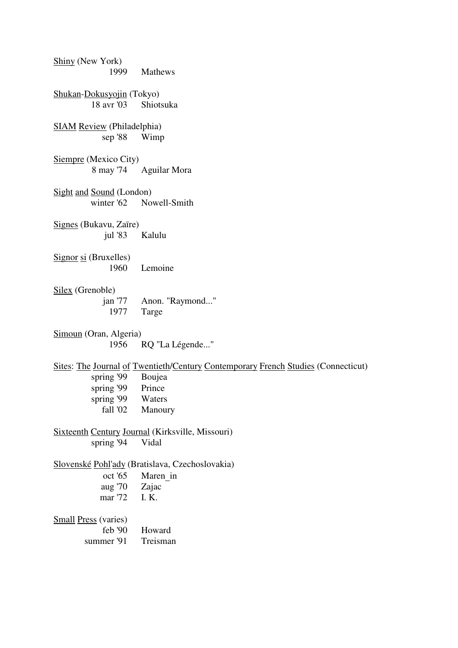Shiny (New York) 1999 Mathews Shukan-Dokusyojin (Tokyo) 18 avr '03 Shiotsuka SIAM Review (Philadelphia) sep '88 Wimp Siempre (Mexico City) 8 may '74 Aguilar Mora Sight and Sound (London) winter '62 Nowell-Smith Signes (Bukavu, Zaïre) jul '83 Kalulu Signor si (Bruxelles) 1960 Lemoine Silex (Grenoble) jan '77 Anon. "Raymond..." 1977 Targe Simoun (Oran, Algeria) 1956 RQ "La Légende..." Sites: The Journal of Twentieth/Century Contemporary French Studies (Connecticut) spring '99 Boujea spring '99 Prince spring '99 Waters<br>fall '02 Manour Manoury Sixteenth Century Journal (Kirksville, Missouri) spring '94 Vidal Slovenské Pohl'ady (Bratislava, Czechoslovakia) oct '65 Maren\_in<br>aug '70 Zajac aug  $'70$  mar '72 I. K. Small Press (varies) feb '90 Howard summer '91 Treisman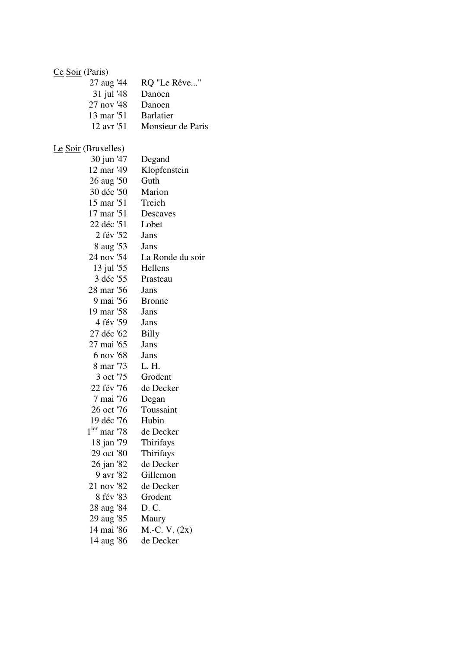### Ce Soir (Paris)

| 27 aug '44          | RQ "Le Rêve"      |
|---------------------|-------------------|
| 31 jul '48          | Danoen            |
| 27 nov '48          | Danoen            |
| 13 mar '51          | <b>Barlatier</b>  |
| 12 avr '51          | Monsieur de Paris |
|                     |                   |
| Le Soir (Bruxelles) |                   |
| 30 jun '47          | Degand            |

| $30 \text{µ}$ ul 47 | Deganu           |
|---------------------|------------------|
| 12 mar '49          | Klopfenstein     |
| 26 aug '50          | Guth             |
| 30 déc '50          | Marion           |
| 15 mar '51          | Treich           |
| 17 mar '51          | Descaves         |
| 22 déc '51          | Lobet            |
| 2 fév '52           | Jans             |
| 8 aug '53           | Jans             |
| 24 nov '54          | La Ronde du soir |
| 13 jul '55          | Hellens          |
| 3 déc '55           | Prasteau         |
| 28 mar '56          | Jans             |
| 9 mai '56           | <b>Bronne</b>    |
| 19 mar '58          | Jans             |
| 4 fév '59           | Jans             |
| 27 déc '62          | <b>Billy</b>     |
| 27 mai '65          | Jans             |
| 6 nov '68           | Jans             |
| 8 mar '73           | L. H.            |
| 3 oct '75           | Grodent          |
| 22 fév '76          | de Decker        |
| 7 mai '76           | Degan            |
| 26 oct '76          | Toussaint        |
| 19 déc '76          | Hubin            |
| $1ier$ mar '78      | de Decker        |
| 18 jan '79          | Thirifays        |
| 29 oct '80          | Thirifays        |
| 26 jan '82          | de Decker        |
| 9 avr '82           | Gillemon         |
| 21 nov '82          | de Decker        |
| 8 fév '83           | Grodent          |
| 28 aug '84          | D. C.            |
| 29 aug '85          | Maury            |
| 14 mai '86          | $M.-C. V. (2x)$  |
| 14 aug '86          | de Decker        |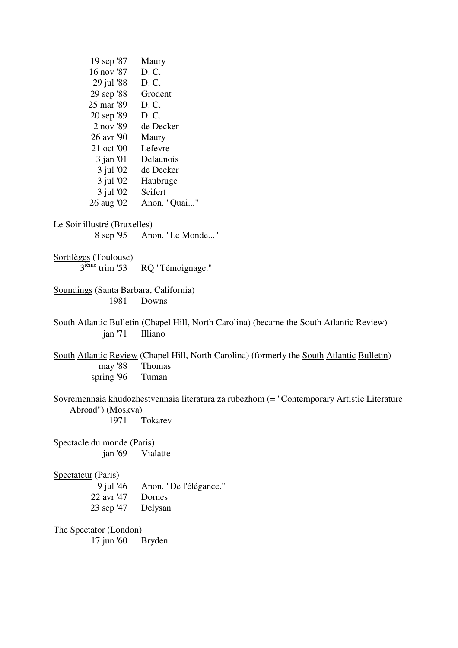| 19 sep '87                            | Maury                                                                                      |
|---------------------------------------|--------------------------------------------------------------------------------------------|
| 16 nov '87                            | D. C.                                                                                      |
| 29 jul '88                            | D. C.                                                                                      |
| 29 sep '88                            | Grodent                                                                                    |
| 25 mar '89                            | D. C.                                                                                      |
| 20 sep '89                            | D. C.                                                                                      |
| 2 nov '89                             | de Decker                                                                                  |
| 26 avr '90                            | Maury                                                                                      |
| 21 oct '00                            | Lefevre                                                                                    |
| $3$ jan '01                           | Delaunois                                                                                  |
| $3$ jul '02                           | de Decker                                                                                  |
| $3$ jul '02                           | Haubruge                                                                                   |
| $3$ jul '02                           | Seifert                                                                                    |
| 26 aug '02                            | Anon. "Quai"                                                                               |
| Le Soir illustré (Bruxelles)          |                                                                                            |
| 8 sep '95                             | Anon. "Le Monde"                                                                           |
| Sortilèges (Toulouse)                 |                                                                                            |
| $3ième$ trim '53                      | RQ "Témoignage."                                                                           |
| Soundings (Santa Barbara, California) |                                                                                            |
| 1981                                  | Downs                                                                                      |
|                                       | South Atlantic Bulletin (Chapel Hill, North Carolina) (became the South Atlantic Review)   |
| jan'71                                | Illiano                                                                                    |
|                                       | South Atlantic Review (Chapel Hill, North Carolina) (formerly the South Atlantic Bulletin) |
| may '88                               | Thomas                                                                                     |
| spring '96                            | Tuman                                                                                      |
| Abroad") (Moskva)                     | Sovremennaia khudozhestvennaia literatura za rubezhom (= "Contemporary Artistic Literature |
| 1971                                  | Tokarev                                                                                    |
| Spectacle du monde (Paris)            |                                                                                            |
| jan'69                                | Vialatte                                                                                   |
| Spectateur (Paris)                    |                                                                                            |
| 9 jul '46                             | Anon. "De l'élégance."                                                                     |
| 22 avr '47                            | Dornes                                                                                     |
| 23 sep '47                            | Delysan                                                                                    |
| The Spectator (London)                |                                                                                            |
| 17 jun '60                            | <b>Bryden</b>                                                                              |
|                                       |                                                                                            |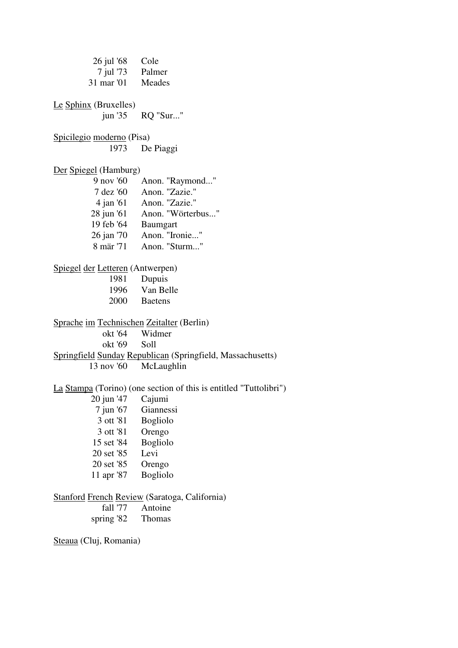26 jul '68 Cole 7 jul '73 Palmer 31 mar '01 Meades Le Sphinx (Bruxelles) jun '35 RQ "Sur..." Spicilegio moderno (Pisa) 1973 De Piaggi Der Spiegel (Hamburg) 9 nov '60 Anon. "Raymond..." 7 dez '60 Anon. "Zazie." 4 jan '61 Anon. "Zazie." 28 jun '61 Anon. "Wörterbus..."<br>19 feb '64 Baumgart Baumgart 26 jan '70 Anon. "Ironie..." 8 mär '71 Anon. "Sturm..." Spiegel der Letteren (Antwerpen) 1981 Dupuis 1996 Van Belle 2000 Baetens Sprache im Technischen Zeitalter (Berlin) okt '64 Widmer okt '69 Soll Springfield Sunday Republican (Springfield, Massachusetts) 13 nov '60 McLaughlin La Stampa (Torino) (one section of this is entitled "Tuttolibri") 20 jun '47 Cajumi 7 jun '67 Giannessi 3 ott '81 Bogliolo 3 ott '81 Orengo 15 set '84 Bogliolo 20 set '85 Levi 20 set '85 Orengo 11 apr '87 Bogliolo Stanford French Review (Saratoga, California) fall '77 Antoine spring '82 Thomas

Steaua (Cluj, Romania)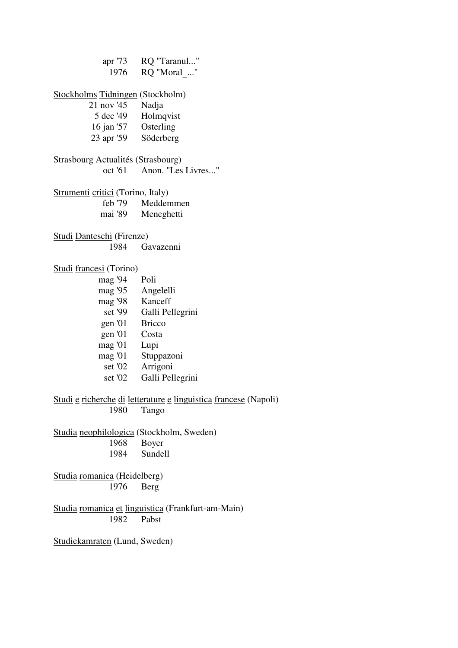apr '73 RQ "Taranul..." 1976 RQ "Moral\_..." Stockholms Tidningen (Stockholm) 21 nov '45 Nadja Holmqvist 16 jan '57 Osterling 23 apr '59 Söderberg Strasbourg Actualités (Strasbourg) oct '61 Anon. "Les Livres..." Strumenti critici (Torino, Italy) feb '79 Meddemmen mai '89 Meneghetti

Studi Danteschi (Firenze) 1984 Gavazenni

Studi francesi (Torino)

mag '94 Poli

- mag '95 Angelelli
- mag '98 Kanceff
	- set '99 Galli Pellegrini
- gen '01 Bricco
- gen '01 Costa
- mag '01 Lupi
- mag '01 Stuppazoni
	- set '02 Arrigoni
	- set '02 Galli Pellegrini

Studi e richerche di letterature e linguistica francese (Napoli) 1980 Tango

Studia neophilologica (Stockholm, Sweden) 1968 Boyer 1984 Sundell

Studia romanica (Heidelberg) 1976 Berg

Studia romanica et linguistica (Frankfurt-am-Main) 1982 Pabst

Studiekamraten (Lund, Sweden)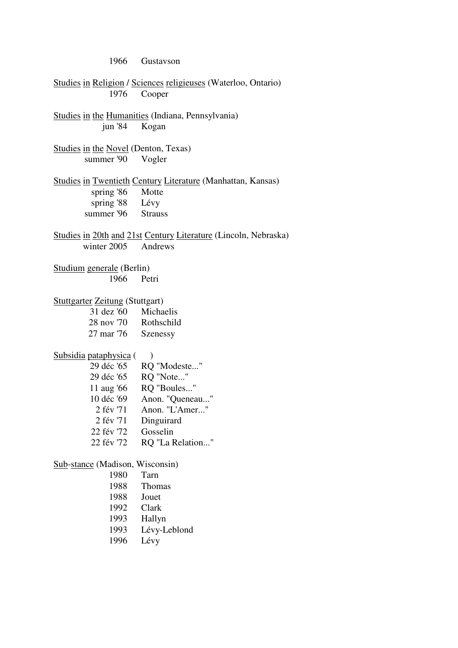1966 Gustavson Studies in Religion / Sciences religieuses (Waterloo, Ontario) 1976 Cooper Studies in the Humanities (Indiana, Pennsylvania) jun '84 Kogan Studies in the Novel (Denton, Texas) summer '90 Vogler Studies in Twentieth Century Literature (Manhattan, Kansas) spring '86 Motte spring '88 Lévy summer '96 Strauss Studies in 20th and 21st Century Literature (Lincoln, Nebraska) winter 2005 Andrews Studium generale (Berlin) 1966 Petri Stuttgarter Zeitung (Stuttgart) 31 dez '60 Michaelis 28 nov '70 Rothschild 27 mar '76 Szenessy Subsidia pataphysica () 29 déc '65 RQ "Modeste..." 29 déc '65 RQ "Note..." 11 aug '66 RQ "Boules..." 10 déc '69 Anon. "Queneau..." 2 fév '71 Anon. "L'Amer..." 2 fév '71 Dinguirard 22 fév '72 Gosselin 22 fév '72 RQ "La Relation..." Sub-stance (Madison, Wisconsin) 1980 Tarn 1988 Thomas 1988 Jouet 1992 Clark 1993 Hallyn 1993 Lévy-Leblond 1996 Lévy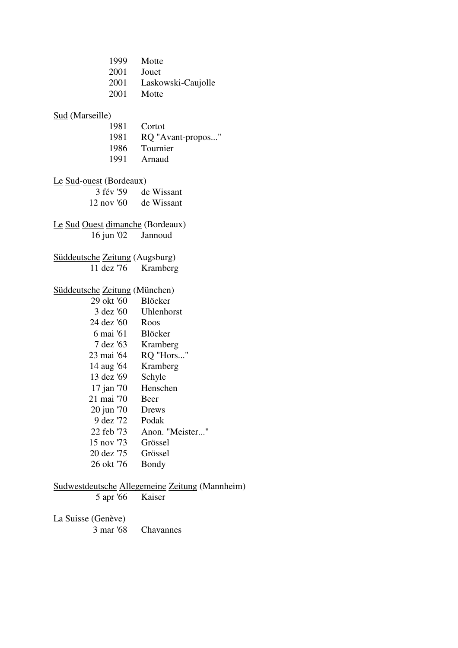| 1999 Motte<br>2001<br>2001 Motte     | Jouet<br>2001 Laskowski-Caujolle |
|--------------------------------------|----------------------------------|
| <b>Sud</b> (Marseille)               |                                  |
| 1981 Cortot                          |                                  |
| 1981                                 | RQ "Avant-propos"                |
|                                      | 1986 Tournier                    |
|                                      | 1991 Arnaud                      |
| Le Sud-ouest (Bordeaux)              |                                  |
|                                      | 3 fév '59 de Wissant             |
| 12 nov '60 de Wissant                |                                  |
|                                      |                                  |
| Le Sud Ouest dimanche (Bordeaux)     |                                  |
| 16 jun '02 Jannoud                   |                                  |
|                                      |                                  |
| Süddeutsche Zeitung (Augsburg)       |                                  |
| 11 dez '76                           | Kramberg                         |
| <b>Süddeutsche Zeitung (München)</b> |                                  |
| 29 okt '60 Blöcker                   |                                  |
|                                      | 3 dez '60 Uhlenhorst             |
| 24 dez '60 Roos                      |                                  |
| 6 mai '61 Blöcker                    |                                  |
| 7 dez '63 Kramberg                   |                                  |
|                                      | 23 mai '64 RQ "Hors"             |
| 14 aug '64 Kramberg                  |                                  |
| 13 dez '69                           | Schyle                           |
| 17 jan '70                           | Henschen                         |
| 21 mai '70                           | Beer                             |
| 20 jun '70                           | Drews                            |
| 9 dez '72                            | Podak                            |
| 22 feb '73                           | Anon. "Meister"                  |
| 15 nov '73                           | Grössel                          |
| 20 dez '75                           | Grössel                          |
| 26 okt '76                           | Bondy                            |
|                                      |                                  |

### Sudwestdeutsche Allegemeine Zeitung (Mannheim)

5 apr '66 Kaiser

# $\frac{\text{La Suisse}}{3 \text{ mar } 68}$

Chavannes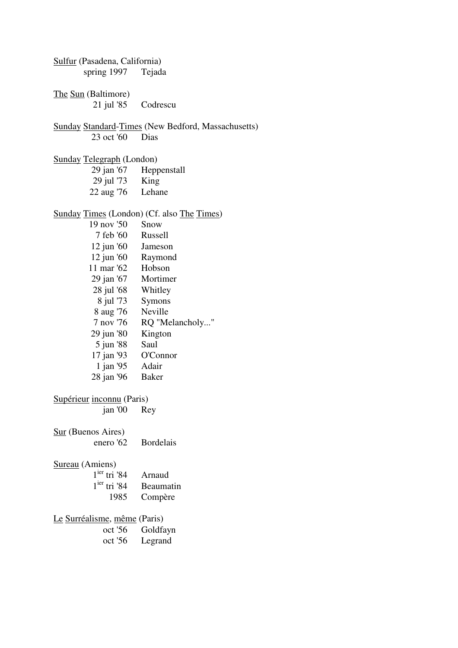Sulfur (Pasadena, California) spring 1997 Tejada The Sun (Baltimore) 21 jul '85 Codrescu Sunday Standard-Times (New Bedford, Massachusetts) 23 oct '60 Dias Sunday Telegraph (London) 29 jan '67 Heppenstall 29 jul '73 King 22 aug '76 Lehane Sunday Times (London) (Cf. also The Times) 19 nov '50 Snow 7 feb '60 Russell 12 jun '60 Jameson 12 jun '60 Raymond 11 mar '62 Hobson 29 jan '67 Mortimer 28 jul '68 Whitley 8 jul '73 Symons 8 aug '76 Neville 7 nov '76 RQ "Melancholy..." 29 jun '80 Kington 5 jun '88 Saul 17 jan '93 O'Connor 1 jan '95 Adair 28 jan '96 Baker Supérieur inconnu (Paris) jan '00 Rey Sur (Buenos Aires) Bordelais Sureau (Amiens)  $1^{ier}$  tri '84 Arnaud<br> $1^{ier}$  tri '84 Beauma Beaumatin 1985 Compère Le Surréalisme, même (Paris) oct '56 Goldfayn oct '56 Legrand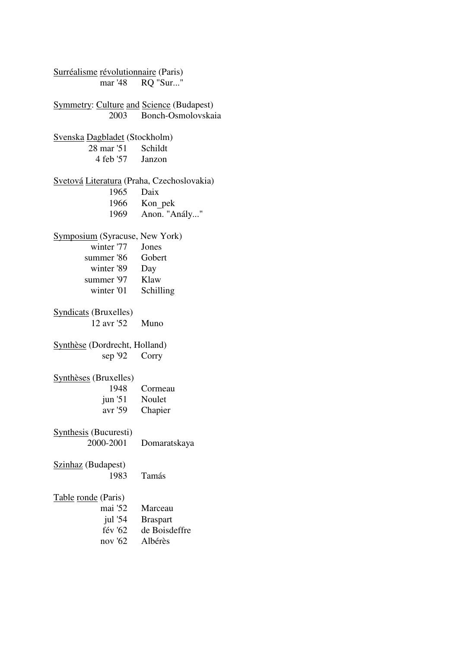| Surréalisme révolutionnaire (Paris)             |                         |
|-------------------------------------------------|-------------------------|
|                                                 | mar '48 RQ "Sur"        |
| <b>Symmetry: Culture and Science (Budapest)</b> |                         |
|                                                 | 2003 Bonch-Osmolovskaia |
| <b>Svenska Dagbladet</b> (Stockholm)            |                         |
| 28 mar '51 Schildt                              |                         |
| 4 feb '57 Janzon                                |                         |
| Svetová Literatura (Praha, Czechoslovakia)      |                         |
| 1965 Daix                                       |                         |
|                                                 | 1966 Kon pek            |
|                                                 | 1969 Anon. "Anály"      |
| <b>Symposium</b> (Syracuse, New York)           |                         |
| winter '77 Jones                                |                         |
| summer '86 Gobert                               |                         |
| winter '89 Day                                  |                         |
| summer '97 Klaw                                 |                         |
| winter '01 Schilling                            |                         |
| <b>Syndicats</b> (Bruxelles)                    |                         |
| 12 avr '52 Muno                                 |                         |
| Synthèse (Dordrecht, Holland)                   |                         |
| sep '92 Corry                                   |                         |
| Synthèses (Bruxelles)                           |                         |
|                                                 | 1948 Cormeau            |
| jun '51 Noulet                                  |                         |
| avr '59 Chapier                                 |                         |
| <b>Synthesis</b> (Bucuresti)                    |                         |
| 2000-2001                                       | Domaratskaya            |
| Szinhaz (Budapest)                              |                         |
| 1983                                            | Tamás                   |
| Table ronde (Paris)                             |                         |
| mai '52                                         | Marceau                 |
| jul $'54$                                       | <b>Braspart</b>         |
| fév '62                                         | de Boisdeffre           |
| nov '62                                         | Albérès                 |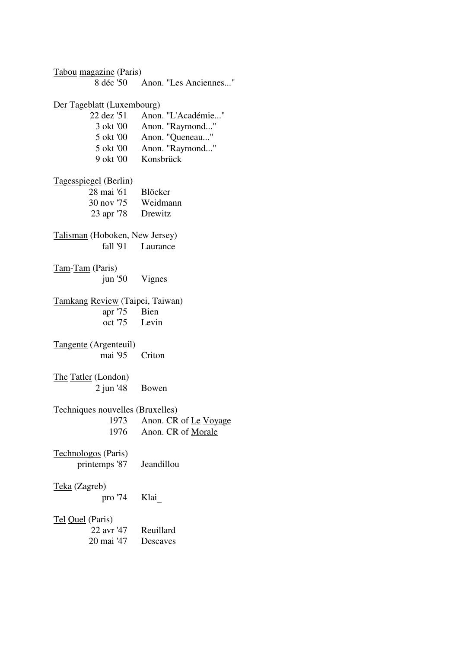Tabou magazine (Paris) 8 déc '50 Anon. "Les Anciennes..." Der Tageblatt (Luxembourg) 22 dez '51 Anon. "L'Académie..." 3 okt '00 Anon. "Raymond..." 5 okt '00 Anon. "Queneau..." 5 okt '00 Anon. "Raymond..." 9 okt '00 Konsbrück Tagesspiegel (Berlin) 28 mai '61 Blöcker 30 nov '75 Weidmann 23 apr '78 Drewitz Talisman (Hoboken, New Jersey) fall '91 Laurance Tam-Tam (Paris) jun '50 Vignes Tamkang Review (Taipei, Taiwan) apr '75 Bien oct '75 Levin Tangente (Argenteuil) mai '95 Criton The Tatler (London) 2 jun '48 Bowen Techniques nouvelles (Bruxelles) 1973 Anon. CR of Le Voyage 1976 Anon. CR of Morale Technologos (Paris) printemps '87 Jeandillou Teka (Zagreb) pro '74 Klai\_ Tel Quel (Paris) 22 avr '47 Reuillard 20 mai '47 Descaves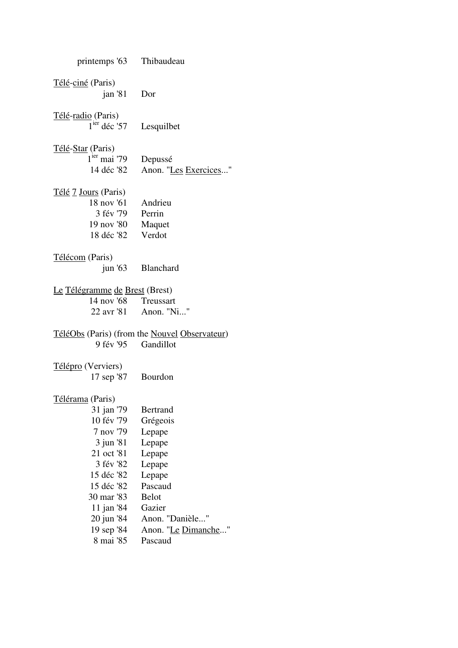| printemps '63 Thibaudeau                                                      |                                               |
|-------------------------------------------------------------------------------|-----------------------------------------------|
| Télé-ciné (Paris)                                                             |                                               |
| jan '81 Dor                                                                   |                                               |
|                                                                               |                                               |
| <u> Télé-radio</u> (Paris)<br>$1^{i\text{er}}$ déc <sup>1</sup> 57 Lesquilbet |                                               |
|                                                                               |                                               |
| <u>Télé-Star</u> (Paris)                                                      |                                               |
| $1ier$ mai '79                                                                | Depussé                                       |
| 14 déc '82                                                                    | Anon. "Les Exercices"                         |
| <u>Télé 7 Jours</u> (Paris)                                                   |                                               |
| 18 nov '61                                                                    | Andrieu                                       |
| 3 fév '79                                                                     | Perrin                                        |
| 19 nov '80                                                                    | Maquet                                        |
| 18 déc '82                                                                    | Verdot                                        |
|                                                                               |                                               |
| Télécom (Paris)                                                               |                                               |
|                                                                               | jun '63 Blanchard                             |
| Le Télégramme de Brest (Brest)                                                |                                               |
| 14 nov '68 Treussart                                                          |                                               |
|                                                                               | 22 avr '81 Anon. "Ni"                         |
|                                                                               |                                               |
|                                                                               | TéléObs (Paris) (from the Nouvel Observateur) |
| 9 fév '95                                                                     | Gandillot                                     |
|                                                                               |                                               |
| Télépro (Verviers)                                                            |                                               |
| 17 sep '87 Bourdon                                                            |                                               |
| Télérama (Paris)                                                              |                                               |
| 31 jan '79                                                                    | <b>Bertrand</b>                               |
| 10 fév '79                                                                    | Grégeois                                      |
| 7 nov '79                                                                     | Lepape                                        |
| 3 jun '81                                                                     | Lepape                                        |
| 21 oct '81                                                                    | Lepape                                        |
| 3 fév '82                                                                     | Lepape                                        |
| 15 déc '82                                                                    | Lepape                                        |
| 15 déc '82                                                                    | Pascaud                                       |
| 30 mar '83                                                                    | <b>Belot</b>                                  |
| 11 jan '84                                                                    | Gazier                                        |
| 20 jun '84                                                                    | Anon. "Danièle"                               |
| 19 sep '84                                                                    | Anon. " <u>Le Dimanche</u> "                  |
| 8 mai '85                                                                     | Pascaud                                       |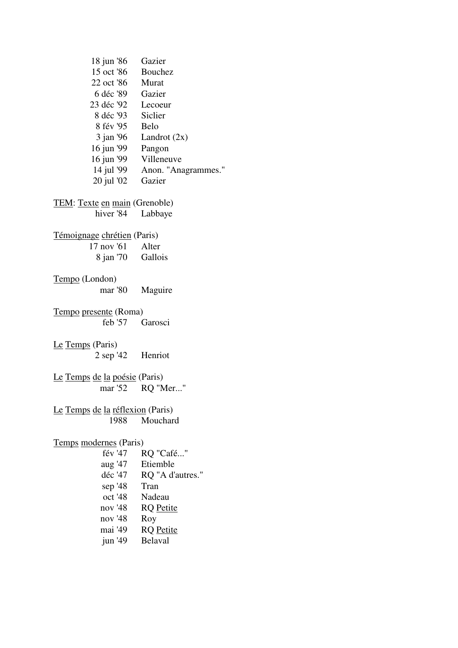| 18 jun '86                           | Gazier                         |  |
|--------------------------------------|--------------------------------|--|
| 15 oct '86 Bouchez                   |                                |  |
| 22 oct '86                           | Murat                          |  |
| 6 déc '89 Gazier                     |                                |  |
| 23 déc '92 Lecoeur                   |                                |  |
| 8 déc '93 Siclier                    |                                |  |
| 8 fév '95 Belo                       |                                |  |
| $3$ jan '96                          | Landrot $(2x)$                 |  |
| 16 jun '99                           | Pangon                         |  |
|                                      | 16 jun '99 Villeneuve          |  |
|                                      | 14 jul '99 Anon. "Anagrammes." |  |
| 20 jul '02 Gazier                    |                                |  |
|                                      |                                |  |
| <b>TEM:</b> Texte en main (Grenoble) |                                |  |
| hiver '84                            | Labbaye                        |  |
|                                      |                                |  |
| Témoignage chrétien (Paris)          |                                |  |
| $17 \text{ nov } 61$ Alter           |                                |  |
| 8 jan '70 Gallois                    |                                |  |
|                                      |                                |  |
| Tempo (London)                       |                                |  |
| mar '80                              | Maguire                        |  |
| Tempo presente (Roma)                |                                |  |
| $feb$ '57                            | Garosci                        |  |
|                                      |                                |  |
| Le Temps (Paris)                     |                                |  |
| $2$ sep '42 Henriot                  |                                |  |
|                                      |                                |  |
| Le Temps de la poésie (Paris)        |                                |  |
|                                      | mar '52 RQ "Mer"               |  |
|                                      |                                |  |
| Le Temps de la réflexion (Paris)     |                                |  |
| 1988                                 | Mouchard                       |  |
|                                      |                                |  |
| Temps modernes (Paris)               |                                |  |
| fév '47                              | RQ "Café"                      |  |
| aug '47                              | Etiemble                       |  |
| déc '47                              | RQ "A d'autres."               |  |
| sep $'48$                            | Tran                           |  |
| oct '48                              |                                |  |
|                                      | Nadeau                         |  |
| nov '48                              | <b>RQ</b> Petite               |  |
| nov '48                              | Roy                            |  |
| mai '49                              | <b>RQ</b> Petite               |  |
| jun $'49$                            | <b>Belaval</b>                 |  |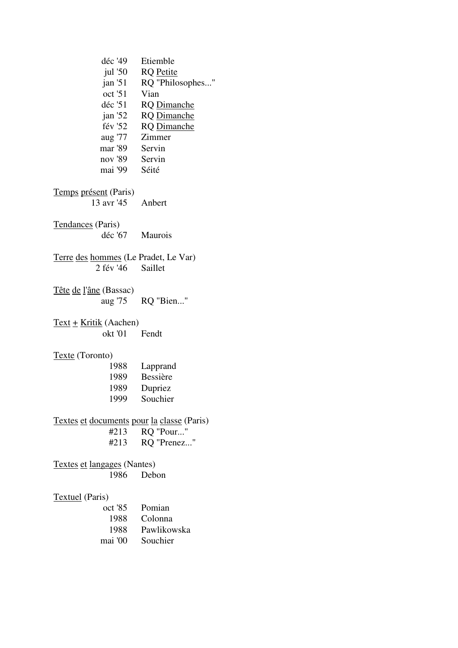| déc '49                                    | Etiemble           |
|--------------------------------------------|--------------------|
| jul $'50$                                  | <b>RQ</b> Petite   |
| jan 51                                     | RQ "Philosophes"   |
| oct '51                                    | Vian               |
| déc '51                                    | <b>RQ</b> Dimanche |
| jan'52                                     | <b>RQ</b> Dimanche |
| fév '52                                    | <b>RQ</b> Dimanche |
| aug '77  Zimmer                            |                    |
| mar '89 Servin                             |                    |
| nov '89 Servin                             |                    |
| mai '99 Séité                              |                    |
| Temps présent (Paris)                      |                    |
| 13 avr '45 Anbert                          |                    |
| Tendances (Paris)                          |                    |
| déc '67 Maurois                            |                    |
| Terre des hommes (Le Pradet, Le Var)       |                    |
| 2 fév '46 Saillet                          |                    |
|                                            |                    |
| Tête de l'âne (Bassac)                     |                    |
|                                            | aug '75 RQ "Bien"  |
|                                            |                    |
| $Text + Kritik (Aachen)$                   |                    |
| okt '01 Fendt                              |                    |
|                                            |                    |
| Texte (Toronto)                            |                    |
| 1988                                       | Lapprand           |
| 1989                                       | Bessière           |
| 1989                                       | Dupriez            |
| 1999                                       | Souchier           |
| Textes et documents pour la classe (Paris) |                    |
| #213                                       | RQ "Pour"          |
| #213                                       | RQ "Prenez"        |
|                                            |                    |
| Textes et langages (Nantes)                |                    |
| 1986                                       | Debon              |
|                                            |                    |
| <b>Textuel</b> (Paris)                     |                    |
| oct '85                                    | Pomian             |
| 1988                                       | Colonna            |
| 1988                                       | Pawlikowska        |
| mai '00                                    | Souchier           |
|                                            |                    |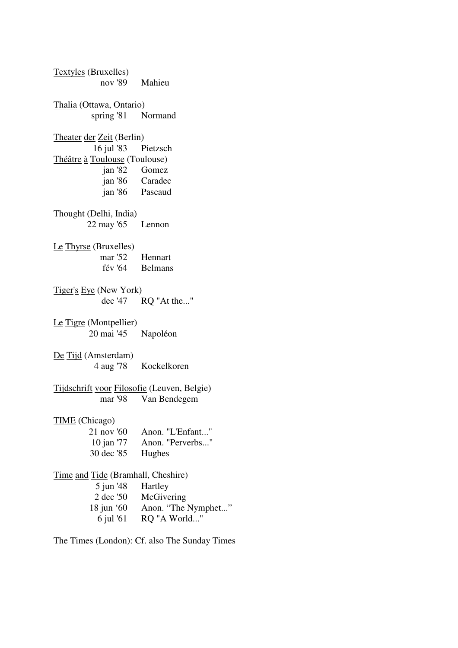Textyles (Bruxelles) nov '89 Mahieu Thalia (Ottawa, Ontario) spring '81 Normand Theater der Zeit (Berlin) 16 jul '83 Pietzsch Théâtre à Toulouse (Toulouse) jan '82 Gomez jan '86 Caradec jan '86 Pascaud Thought (Delhi, India) 22 may '65 Lennon Le Thyrse (Bruxelles) mar '52 Hennart fév '64 Belmans Tiger's Eye (New York) dec '47 RQ "At the..." Le Tigre (Montpellier) 20 mai '45 Napoléon De Tijd (Amsterdam) 4 aug '78 Kockelkoren Tijdschrift voor Filosofie (Leuven, Belgie) mar '98 Van Bendegem TIME (Chicago) 21 nov '60 Anon. "L'Enfant..." 10 jan '77 Anon. "Perverbs..." 30 dec '85 Hughes Time and Tide (Bramhall, Cheshire) 5 jun '48 Hartley 2 dec '50 McGivering 18 jun '60 Anon. "The Nymphet..." 6 jul '61 RQ "A World..."

The Times (London): Cf. also The Sunday Times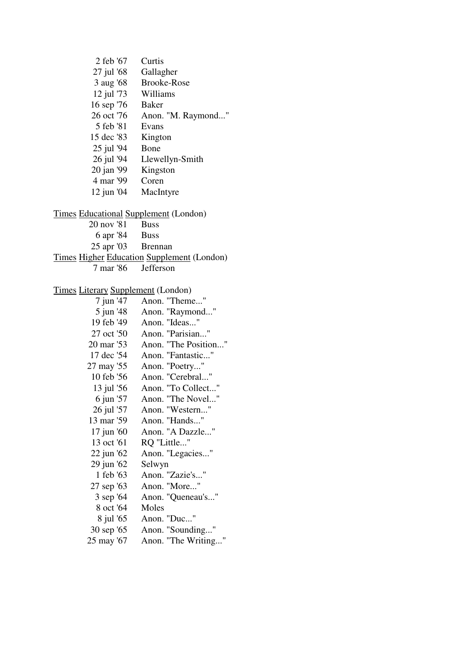| 2 feb '67                                    | Curtis                                     |
|----------------------------------------------|--------------------------------------------|
| 27 jul '68                                   | Gallagher                                  |
| 3 aug '68                                    | <b>Brooke-Rose</b>                         |
| 12 jul '73                                   | Williams                                   |
| 16 sep '76                                   | <b>Baker</b>                               |
| 26 oct '76                                   | Anon. "M. Raymond"                         |
| 5 feb '81                                    | Evans                                      |
| 15 dec '83                                   | Kington                                    |
| 25 jul '94                                   | Bone                                       |
| 26 jul '94                                   | Llewellyn-Smith                            |
| 20 jan '99                                   | Kingston                                   |
| 4 mar '99                                    | Coren                                      |
| $12$ jun '04                                 | MacIntyre                                  |
|                                              |                                            |
| <b>Times Educational Supplement (London)</b> |                                            |
| 20 nov '81                                   | <b>Buss</b>                                |
| 6 apr '84 Buss                               |                                            |
| 25 apr '03 Brennan                           |                                            |
|                                              | Times Higher Education Supplement (London) |
| 7 mar '86                                    | Jefferson                                  |
|                                              |                                            |
| <b>Times Literary Supplement (London)</b>    |                                            |
| 7 jun '47                                    | Anon. "Theme"                              |
| 5 jun '48                                    | Anon. "Raymond"                            |
| 19 feb '49                                   | Anon. "Ideas"                              |
| 27 oct '50                                   | Anon. "Parisian"                           |
| 20 mar '53                                   | Anon. "The Position"                       |
| 17 dec '54                                   | Anon. "Fantastic"                          |
| 27 may '55                                   | Anon. "Poetry"                             |
| 10 feb '56                                   | Anon. "Cerebral"                           |
| 13 jul '56                                   | Anon. "To Collect"                         |
| 6 jun '57                                    | Anon. "The Novel                           |
|                                              | Anon. "Western"                            |
| 26 jul '57<br>13 mar '59                     | Anon. "Hands"                              |
| 17 jun '60                                   | Anon. "A Dazzle"                           |
| 13 oct '61                                   | RQ "Little"                                |
|                                              |                                            |
| 22 jun '62                                   | Anon. "Legacies"                           |
| 29 jun '62                                   | Selwyn<br>Anon. "Zazie's"                  |
| 1 feb '63                                    |                                            |
| 27 sep '63                                   | Anon. "More"                               |
| 3 sep '64                                    | Anon. "Queneau's"                          |
| 8 oct '64                                    | Moles                                      |
| 8 jul '65                                    | Anon. "Duc"                                |
| 30 sep '65                                   | Anon. "Sounding"                           |
| 25 may '67                                   | Anon. "The Writing"                        |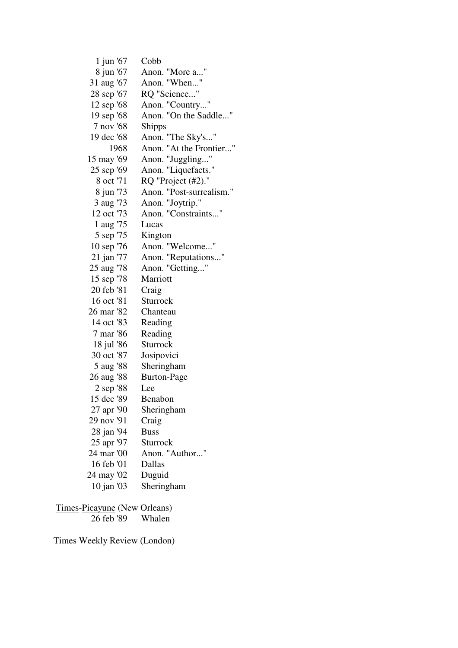| 1 jun '67  | Cobb                     |
|------------|--------------------------|
| 8 jun '67  | Anon. "More a"           |
| 31 aug '67 | Anon. "When"             |
| 28 sep '67 | RQ "Science"             |
| 12 sep '68 | Anon. "Country"          |
| 19 sep '68 | Anon. "On the Saddle"    |
| 7 nov '68  | <b>Shipps</b>            |
| 19 dec '68 | Anon. "The Sky's"        |
| 1968       | Anon. "At the Frontier"  |
| 15 may '69 | Anon. "Juggling"         |
| 25 sep '69 | Anon. "Liquefacts."      |
| 8 oct '71  | RQ "Project (#2)."       |
| 8 jun '73  | Anon. "Post-surrealism." |
| 3 aug '73  | Anon. "Joytrip."         |
| 12 oct '73 | Anon. "Constraints"      |
| 1 aug '75  | Lucas                    |
| 5 sep '75  | Kington                  |
| 10 sep '76 | Anon. "Welcome"          |
| 21 jan '77 | Anon. "Reputations"      |
| 25 aug '78 | Anon. "Getting"          |
| 15 sep '78 | Marriott                 |
| 20 feb '81 | Craig                    |
| 16 oct '81 | Sturrock                 |
| 26 mar '82 | Chanteau                 |
| 14 oct '83 | Reading                  |
| 7 mar '86  | Reading                  |
| 18 jul '86 | Sturrock                 |
| 30 oct '87 | Josipovici               |
| 5 aug '88  | Sheringham               |
| 26 aug '88 | <b>Burton-Page</b>       |
| 2 sep '88  | Lee                      |
| 15 dec '89 | Benabon                  |
| 27 apr '90 | Sheringham               |
| 29 nov '91 | Craig                    |
| 28 jan '94 | <b>Buss</b>              |
| 25 apr '97 | Sturrock                 |
| 24 mar '00 | Anon. "Author"           |
| 16 feb '01 | Dallas                   |
| 24 may '02 | Duguid                   |
| 10 jan '03 | Sheringham               |
|            |                          |

Times-Picayune (New Orleans)<br>26 feb '89 Whalen  $\overline{26}$  feb '89

Times Weekly Review (London)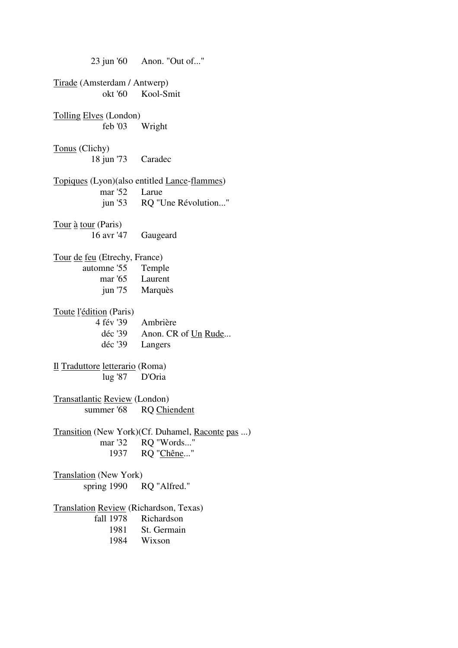23 jun '60 Anon. "Out of..." Tirade (Amsterdam / Antwerp) okt '60 Kool-Smit Tolling Elves (London) feb '03 Wright Tonus (Clichy) 18 jun '73 Caradec Topiques (Lyon)(also entitled Lance-flammes) mar '52 Larue jun '53 RQ "Une Révolution..." Tour à tour (Paris) 16 avr '47 Gaugeard Tour de feu (Etrechy, France) automne '55 Temple mar '65 Laurent jun '75 Marquès Toute l'édition (Paris) 4 fév '39 Ambrière déc '39 Anon. CR of Un Rude... déc '39 Langers Il Traduttore letterario (Roma) lug '87 D'Oria Transatlantic Review (London) summer '68 RQ Chiendent Transition (New York)(Cf. Duhamel, <u>Raconte pas</u> ...)<br>mar '32 RO "Words..." RO "Words..." 1937 RQ "Chêne..." Translation (New York) spring 1990 RQ "Alfred." Translation Review (Richardson, Texas) fall 1978 Richardson 1981 St. Germain 1984 Wixson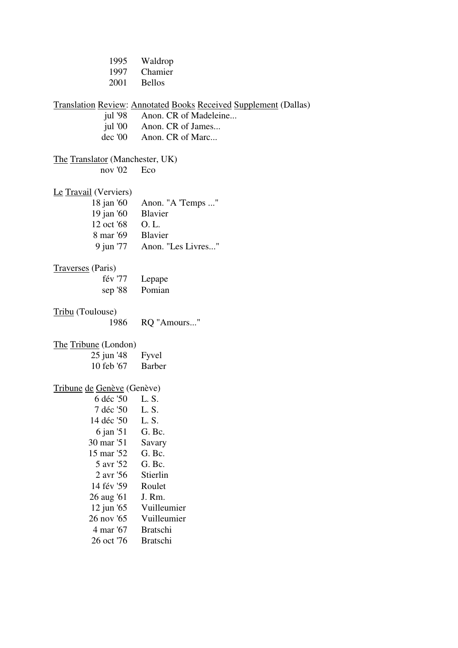| 1995                            | Waldrop                                                                 |
|---------------------------------|-------------------------------------------------------------------------|
| 1997                            | Chamier                                                                 |
| 2001                            | <b>Bellos</b>                                                           |
|                                 |                                                                         |
|                                 | <b>Translation Review: Annotated Books Received Supplement (Dallas)</b> |
| jul $98$                        | Anon. CR of Madeleine                                                   |
| jul '00                         | Anon. CR of James                                                       |
| $dec$ '00                       | Anon. CR of Marc                                                        |
| The Translator (Manchester, UK) |                                                                         |
| nov '02                         | Eco                                                                     |
|                                 |                                                                         |
| Le Travail (Verviers)           |                                                                         |
| 18 jan '60                      | Anon. "A 'Temps "                                                       |
| 19 jan '60                      | Blavier                                                                 |
| 12 oct '68                      | O. L.                                                                   |
| 8 mar '69 Blavier               |                                                                         |
| 9 jun '77                       | Anon. "Les Livres"                                                      |
|                                 |                                                                         |
| Traverses (Paris)               |                                                                         |
| fév '77                         | Lepape                                                                  |
| sep $'88$                       | Pomian                                                                  |
| Tribu (Toulouse)                |                                                                         |
| 1986                            | RQ "Amours"                                                             |
|                                 |                                                                         |
| The Tribune (London)            |                                                                         |
| 25 jun '48                      | Fyvel                                                                   |
| 10 feb '67                      | Barber                                                                  |
|                                 |                                                                         |
| Tribune de Genève (Genève)      |                                                                         |
| 6 déc '50 L.S.                  |                                                                         |
| 7 déc '50                       | L.S.                                                                    |
| 14 déc '50                      | L. S.                                                                   |
| 6 jan '51                       | G. Bc.                                                                  |
| 30 mar '51                      | Savary                                                                  |
| 15 mar '52                      | G. Bc.                                                                  |
| 5 avr '52                       | G. Bc.                                                                  |
| 2 avr '56                       | Stierlin                                                                |
| 14 fév '59                      | Roulet                                                                  |
| 26 aug '61                      | J. Rm.                                                                  |
| 12 jun '65                      | Vuilleumier                                                             |
| 26 nov '65                      | Vuilleumier                                                             |
| 4 mar '67                       | <b>Bratschi</b>                                                         |
| 26 oct '76                      | <b>Bratschi</b>                                                         |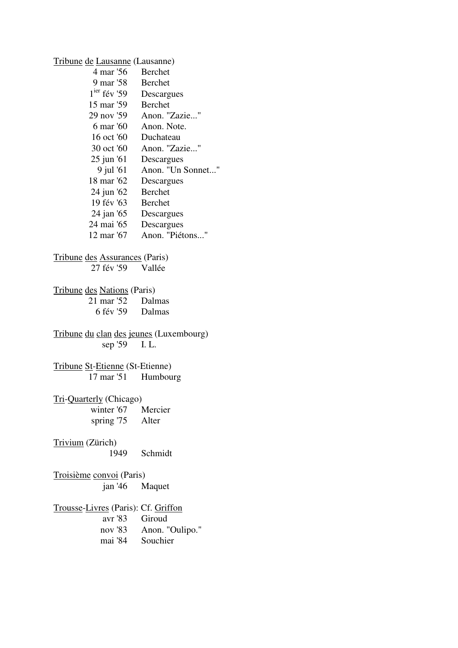Tribune de Lausanne (Lausanne)

| 4 mar '56      | Berchet           |
|----------------|-------------------|
| 9 mar '58      | <b>Berchet</b>    |
| $1ier$ fév '59 | Descargues        |
| 15 mar '59     | Berchet           |
| 29 nov '59     | Anon. "Zazie"     |
| 6 mar '60      | Anon. Note.       |
| 16 oct '60     | Duchateau         |
| 30 oct '60     | Anon. "Zazie"     |
| $25$ jun '61   | Descargues        |
| 9 jul '61      | Anon. "Un Sonnet" |
| 18 mar '62     | Descargues        |
| 24 jun '62     | Berchet           |
| 19 fév '63     | <b>Berchet</b>    |
| 24 jan '65     | Descargues        |
| 24 mai '65     | Descargues        |
| 12 mar '67     | Anon. "Piétons"   |
|                |                   |

# Tribune des Assurances (Paris)<br>27 fév '59 Vallée

27 fév '59

#### Tribune des Nations (Paris)

| 21 mar '52 | Dalmas |
|------------|--------|
| 6 fév '59  | Dalmas |

Tribune du clan des jeunes (Luxembourg)  $\overline{\text{sep }159}$  I. L.

#### Tribune St-Etienne (St-Etienne) 17 mar '51 Humbourg

# Tri-Quarterly (Chicago)<br>winter '67 Mercier

winter  $'67$ spring '75 Alter

### Trivium (Zürich)

1949 Schmidt

#### Troisième convoi (Paris) jan '46 Maquet

# Trousse-Livres (Paris): Cf. Griffon

Giroud nov '83 Anon. "Oulipo." mai '84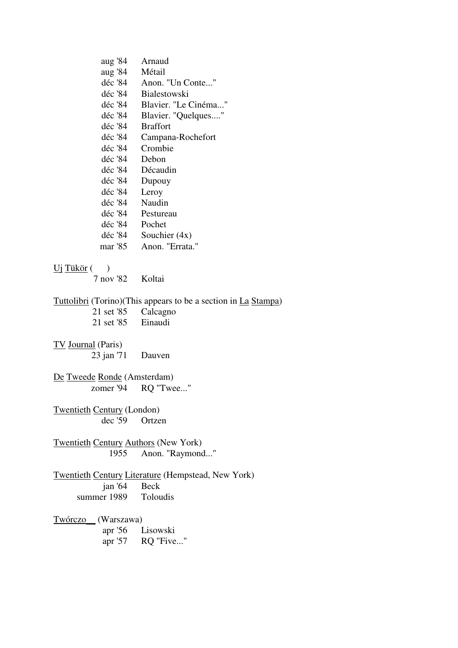| aug '84  | Arnaud               |
|----------|----------------------|
| aug '84  | Métail               |
| déc '84  | Anon. "Un Conte"     |
| déc '84- | <b>Bialestowski</b>  |
| déc '84- | Blavier. "Le Cinéma" |
| déc '84  | Blavier. "Quelques"  |
| déc '84  | <b>Braffort</b>      |
| déc '84  | Campana-Rochefort    |
| déc '84  | Crombie              |
| déc '84- | Debon                |
| déc '84  | Décaudin             |
| déc '84  | Dupouy               |
| déc '84  | Leroy                |
| déc '84  | Naudin               |
| déc '84  | Pestureau            |
| déc '84  | Pochet               |
| déc '84  | Souchier $(4x)$      |
| mar '85  | Anon. "Errata."      |
|          |                      |

#### $Uj$  Tükör ()

7 nov '82 Koltai

Tuttolibri (Torino)(This appears to be a section in <u>La Stampa)</u><br>21 set '85 Calcagno<br>21 set '85 Einaudi

| 21 set '85 | Calcagno |
|------------|----------|
| 21 set '85 | Einaudi  |

#### TV Journal (Paris)

23 jan '71 Dauven

De Tweede Ronde (Amsterdam) zomer '94 RQ "Twee..."

Twentieth Century (London) dec '59 Ortzen

Twentieth Century Authors (New York) 1955 Anon. "Raymond..."

Twentieth Century Literature (Hempstead, New York) jan '64 Beck<br>er 1989 Toloudis summer 1989

Twórczo (Warszawa)<br>apr '56 I Lisowski apr '57 RQ "Five..."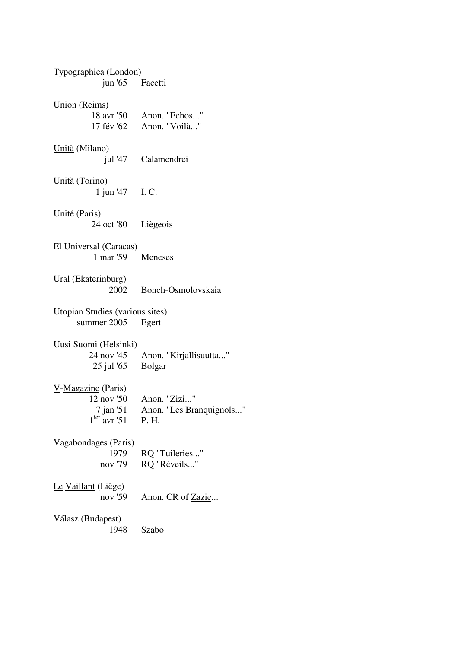| Typographica (London)                  |                          |
|----------------------------------------|--------------------------|
| jun '65 Facetti                        |                          |
| Union (Reims)                          |                          |
|                                        | 18 avr '50 Anon. "Echos" |
|                                        | 17 fév '62 Anon. "Voilà" |
| Unità (Milano)                         |                          |
|                                        | jul '47 Calamendrei      |
| Unità (Torino)                         |                          |
| 1 jun '47 I.C.                         |                          |
| Unité (Paris)                          |                          |
| 24 oct '80 Liègeois                    |                          |
| El Universal (Caracas)                 |                          |
| 1 mar '59 Meneses                      |                          |
| Ural (Ekaterinburg)                    |                          |
| 2002                                   | Bonch-Osmolovskaia       |
| <b>Utopian Studies</b> (various sites) |                          |
| summer 2005                            | Egert                    |
| Uusi Suomi (Helsinki)                  |                          |
| 24 nov '45                             | Anon. "Kirjallisuutta"   |
| 25 jul '65                             | <b>Bolgar</b>            |
| $V$ -Magazine (Paris)                  |                          |
|                                        | 12 nov '50 Anon. "Zizi"  |
| 7 jan '51                              | Anon. "Les Branquignols" |
| $1ier$ avr '51                         | P. H.                    |
| Vagabondages (Paris)                   |                          |
| 1979                                   | RQ "Tuileries"           |
| nov '79                                | RQ "Réveils"             |
| Le Vaillant (Liège)                    |                          |
| nov '59                                | Anon. CR of Zazie        |
| Válasz (Budapest)                      |                          |
| 1948                                   | Szabo                    |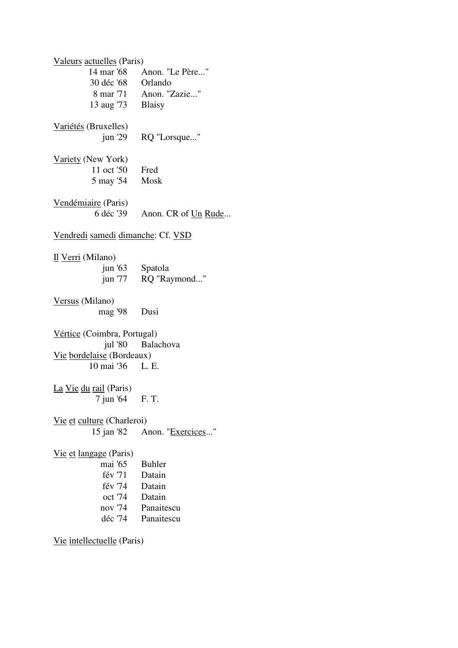Valeurs actuelles (Paris) 14 mar '68 Anon. "Le Père..." 30 déc '68 Orlando 8 mar '71 Anon. "Zazie..." 13 aug '73 Blaisy Variétés (Bruxelles) jun '29 RQ "Lorsque..." Variety (New York) 11 oct '50 Fred 5 may '54 Mosk Vendémiaire (Paris) 6 déc '39 Anon. CR of Un Rude... Vendredi samedi dimanche: Cf. VSD Il Verri (Milano) jun '63 Spatola jun '77 RQ "Raymond..." Versus (Milano) mag '98 Dusi Vértice (Coimbra, Portugal) jul '80 Balachova Vie bordelaise (Bordeaux) 10 mai '36 L. E. La Vie du rail (Paris) 7 jun '64 F. T. Vie et culture (Charleroi) 15 jan '82 Anon. "Exercices..." Vie et langage (Paris) mai '65 Buhler fév '71 Datain fév '74 Datain oct '74 Datain nov '74 Panaitescu déc '74 Panaitescu

Vie intellectuelle (Paris)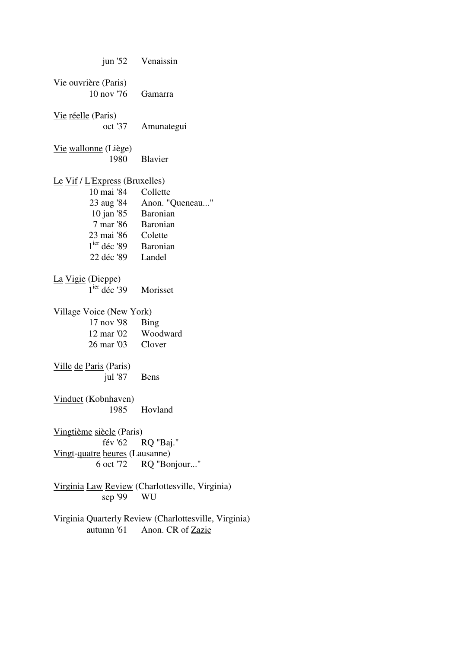|                                            | jun '52 Venaissin                                                                     |
|--------------------------------------------|---------------------------------------------------------------------------------------|
| Vie ouvrière (Paris)<br>10 nov '76 Gamarra |                                                                                       |
| Vie réelle (Paris)                         | oct '37 Amunategui                                                                    |
| Vie wallonne (Liège)<br>1980               | <b>Blavier</b>                                                                        |
| Le Vif / $L$ Express (Bruxelles)           |                                                                                       |
| 10 mai '84 Collette                        |                                                                                       |
|                                            |                                                                                       |
|                                            | 23 aug '84 Anon. "Queneau"<br>10 jan '85 Baronian                                     |
| 7 mar '86 Baronian                         |                                                                                       |
| 23 mai '86 Colette                         |                                                                                       |
| 1 <sup>ier</sup> déc '89 Baronian          |                                                                                       |
| 22 déc '89 Landel                          |                                                                                       |
|                                            |                                                                                       |
| La Vigie (Dieppe)                          |                                                                                       |
| 1 <sup>ier</sup> déc '39 Morisset          |                                                                                       |
| Village Voice (New York)                   |                                                                                       |
| 17 nov '98 Bing                            |                                                                                       |
| 12 mar '02 Woodward                        |                                                                                       |
| 26 mar '03 Clover                          |                                                                                       |
|                                            |                                                                                       |
| Ville de Paris (Paris)                     |                                                                                       |
| jul '87 Bens                               |                                                                                       |
|                                            |                                                                                       |
| Vinduet (Kobnhaven)                        |                                                                                       |
|                                            | 1985 Hovland                                                                          |
|                                            |                                                                                       |
| Vingtième siècle (Paris)                   |                                                                                       |
|                                            | fév '62 RQ "Baj."                                                                     |
| Vingt-quatre heures (Lausanne)             |                                                                                       |
|                                            | 6 oct '72 RQ "Bonjour"                                                                |
| sep '99 WU                                 | Virginia Law Review (Charlottesville, Virginia)                                       |
|                                            |                                                                                       |
|                                            | Virginia Quarterly Review (Charlottesville, Virginia)<br>autumn '61 Anon. CR of Zazie |
|                                            |                                                                                       |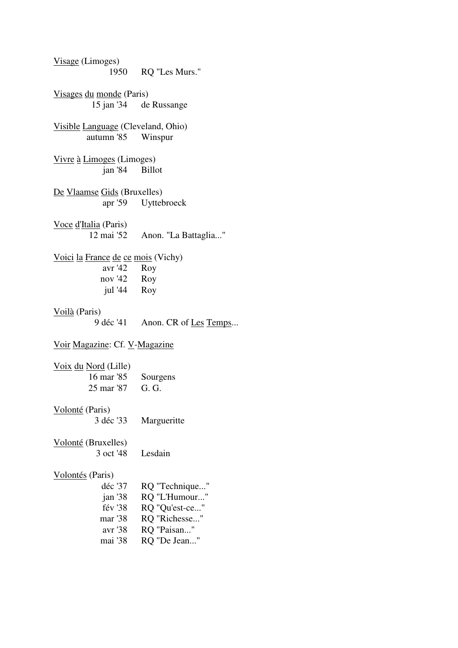| Visage (Limoges)                                              | 1950 RQ "Les Murs."             |  |
|---------------------------------------------------------------|---------------------------------|--|
| Visages du monde (Paris)                                      |                                 |  |
|                                                               | 15 jan '34 de Russange          |  |
| Visible Language (Cleveland, Ohio)                            |                                 |  |
| autumn '85 Winspur                                            |                                 |  |
| Vivre à Limoges (Limoges)                                     |                                 |  |
| jan '84 Billot                                                |                                 |  |
| De Vlaamse Gids (Bruxelles)                                   |                                 |  |
|                                                               | apr '59 Uyttebroeck             |  |
| Voce d'Italia (Paris)                                         |                                 |  |
|                                                               | 12 mai '52 Anon. "La Battaglia" |  |
| Voici la France de ce mois (Vichy)                            |                                 |  |
| avr '42 Roy                                                   |                                 |  |
| nov '42 Roy                                                   |                                 |  |
| jul '44 Roy                                                   |                                 |  |
| Voilà (Paris)                                                 |                                 |  |
|                                                               | 9 déc '41 Anon. CR of Les Temps |  |
| Voir Magazine: Cf. V-Magazine                                 |                                 |  |
| $\frac{V \text{o} \text{i} x}{V \text{o} \text{c} y}$ (Lille) |                                 |  |
| 16 mar '85                                                    | Sourgens                        |  |
| 25 mar '87 G. G.                                              |                                 |  |
| Volonté (Paris)                                               |                                 |  |
| 3 déc '33                                                     | Margueritte                     |  |
| Volonté (Bruxelles)                                           |                                 |  |
| 3 oct '48                                                     | Lesdain                         |  |
| Volontés (Paris)                                              |                                 |  |
| déc '37                                                       | RQ "Technique"                  |  |
| jan'38                                                        | RQ "L'Humour"                   |  |
| fév '38                                                       | RQ "Qu'est-ce"                  |  |
| mar '38                                                       | RQ "Richesse"                   |  |
|                                                               |                                 |  |
| avr '38                                                       | RQ "Paisan"                     |  |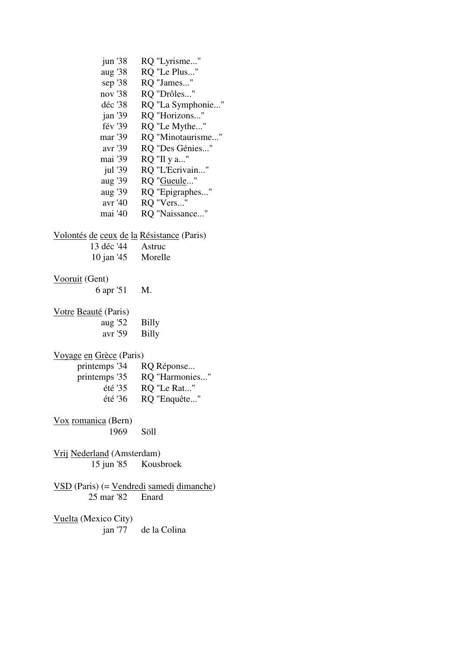jun '38 RQ "Lyrisme..." aug '38 RQ "Le Plus..." sep '38 RQ "James..." nov '38 RQ "Drôles..." déc '38 RQ "La Symphonie..." jan '39 RQ "Horizons..." fév '39 RQ "Le Mythe..." mar '39 RQ "Minotaurisme..." avr '39 RQ "Des Génies..." mai '39 RQ "Il y a..." jul '39 RQ "L'Ecrivain..." aug '39 RQ "Gueule..." aug '39 RQ "Epigraphes..." avr '40 RQ "Vers..." mai '40 RQ "Naissance..." Volontés de ceux de la Résistance (Paris) 13 déc '44 Astruc 10 jan '45 Morelle Vooruit (Gent) 6 apr '51 M. Votre Beauté (Paris) aug '52 Billy avr '59 Billy Voyage en Grèce (Paris) printemps '34 RQ Réponse... printemps '35 RQ "Harmonies..." été '35 RQ "Le Rat..." été '36 RQ "Enquête..." Vox romanica (Bern) 1969 Söll Vrij Nederland (Amsterdam) 15 jun '85 Kousbroek VSD (Paris) (= Vendredi samedi dimanche) 25 mar '82 Enard Vuelta (Mexico City) jan '77 de la Colina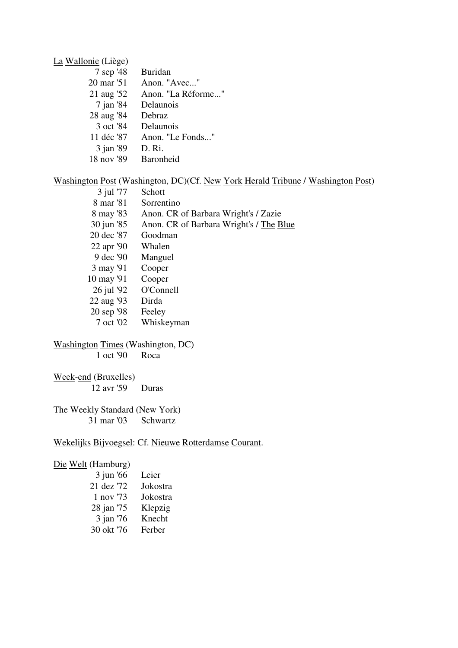La Wallonie (Liège)

| 7 sep '48   | <b>Buridan</b>     |
|-------------|--------------------|
| 20 mar '51  | Anon. "Avec"       |
| 21 aug '52  | Anon. "La Réforme" |
| $7$ jan '84 | Delaunois          |
| 28 aug '84  | Debraz             |
| 3 oct '84   | Delaunois          |
| 11 déc '87  | Anon. "Le Fonds"   |
| 3 jan '89   | D. Ri.             |
| 18 nov '89  | Baronheid          |

#### Washington Post (Washington, DC)(Cf. New York Herald Tribune / Washington Post)

| 3 jul '77  | Schott                                  |
|------------|-----------------------------------------|
| 8 mar '81  | Sorrentino                              |
| 8 may '83  | Anon. CR of Barbara Wright's / Zazie    |
| 30 jun '85 | Anon. CR of Barbara Wright's / The Blue |
| 20 dec '87 | Goodman                                 |
| 22 apr '90 | Whalen                                  |
| 9 dec '90  | Manguel                                 |
| 3 may '91  | Cooper                                  |
| 10 may '91 | Cooper                                  |
| 26 jul '92 | O'Connell                               |
| 22 aug '93 | Dirda                                   |
| 20 sep '98 | Feeley                                  |
|            |                                         |

7 oct '02 Whiskeyman

#### Washington Times (Washington, DC)  $\overline{1 \text{ oct } 90}$  Roca

#### Week-end (Bruxelles)

12 avr '59 Duras

#### The Weekly Standard (New York) 31 mar '03 Schwartz

#### Wekelijks Bijvoegsel: Cf. Nieuwe Rotterdamse Courant.

#### Die Welt (Hamburg)

| $3$ jun '66 | Leier    |
|-------------|----------|
| 21 dez '72  | Jokostra |
| 1 nov '73   | Jokostra |
| 28 jan '75  | Klepzig  |
| 3 jan '76   | Knecht   |
| 30 okt '76  | Ferber   |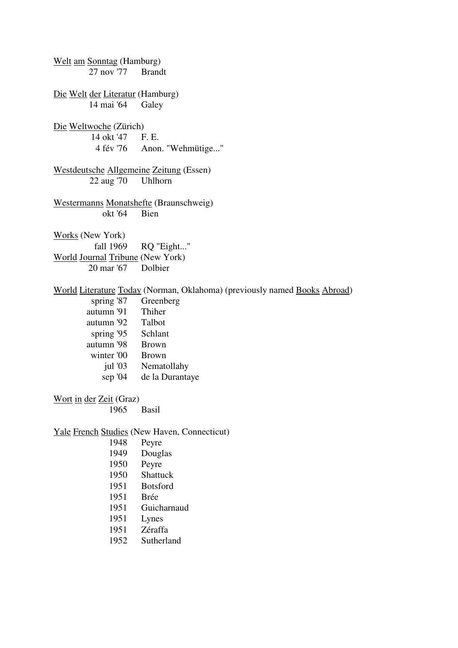Welt am Sonntag (Hamburg) 27 nov '77 Brandt Die Welt der Literatur (Hamburg) 14 mai '64 Galey Die Weltwoche (Zürich) 14 okt '47 F. E. Anon. "Wehmütige..." Westdeutsche Allgemeine Zeitung (Essen) 22 aug '70 Uhlhorn Westermanns Monatshefte (Braunschweig)<br>okt '64 Bien okt '64 Works (New York) fall 1969 RQ "Eight..." World Journal Tribune (New York) 20 mar '67 Dolbier World Literature Today (Norman, Oklahoma) (previously named Books Abroad) spring '87 Greenberg autumn '91 Thiher autumn '92 Talbot spring '95 Schlant autumn '98 Brown winter '00 Brown jul '03 Nematollahy sep '04 de la Durantaye Wort in der Zeit (Graz) 1965 Basil Yale French Studies (New Haven, Connecticut) 1948 Peyre 1949 Douglas 1950 Peyre 1950 Shattuck 1951 Botsford 1951 Brée 1951 Guicharnaud 1951 Lynes

- 1951 Zéraffa
- 1952 Sutherland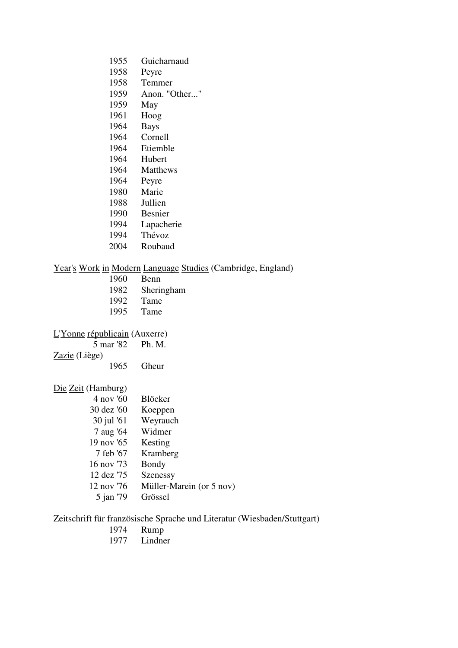| 1955 | Guicharnaud     |
|------|-----------------|
| 1958 | Peyre           |
| 1958 | Temmer          |
| 1959 | Anon. "Other"   |
| 1959 | May             |
| 1961 | Hoog            |
| 1964 | <b>Bays</b>     |
| 1964 | Cornell         |
| 1964 | Etiemble        |
| 1964 | Hubert          |
| 1964 | <b>Matthews</b> |
| 1964 | Peyre           |
| 1980 | Marie           |
| 1988 | Jullien         |
| 1990 | Besnier         |
| 1994 | Lapacherie      |
| 1994 | Thévoz          |
| 2004 | Roubaud         |

#### Year's Work in Modern Language Studies (Cambridge, England)

- 1960 Benn 1982 Sheringham
- 1992 Tame<br>1995 Tame
- Tame

 $L'$ <u>Yonne</u> républicain (Auxerre)<br>5 mar '82 Ph. M.

5 mar '82

Zazie (Liège)

1965 Gheur

### Die Zeit (Hamburg)

| 4 nov '60  | <b>Blöcker</b>           |
|------------|--------------------------|
| 30 dez '60 | Koeppen                  |
| 30 jul '61 | Weyrauch                 |
| 7 aug '64  | Widmer                   |
| 19 nov '65 | Kesting                  |
| 7 feb '67  | Kramberg                 |
| 16 nov '73 | Bondy                    |
| 12 dez '75 | <b>Szenessy</b>          |
| 12 nov '76 | Müller-Marein (or 5 nov) |
| 5 jan '79  | Grössel                  |

Zeitschrift für französische Sprache und Literatur (Wiesbaden/Stuttgart)

- 1974 Rump<br>1977 Lindne
- Lindner